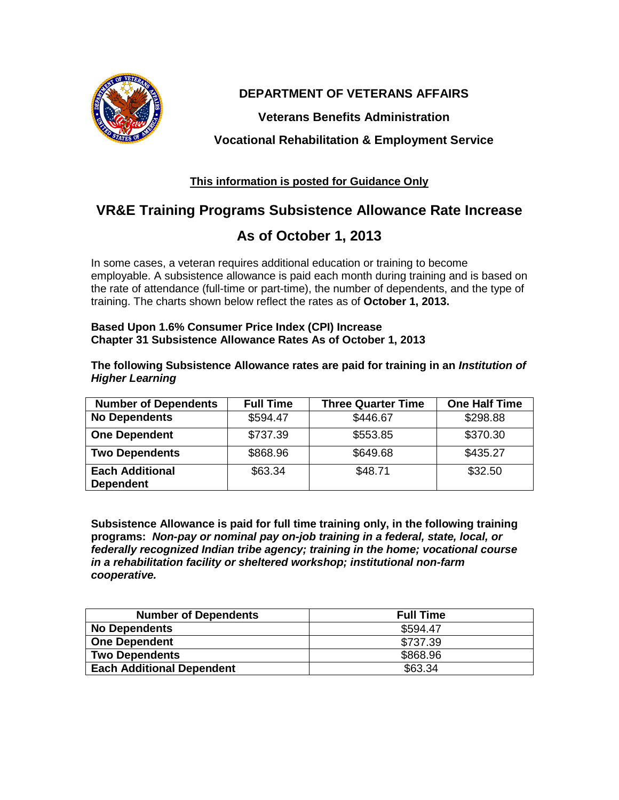

### **DEPARTMENT OF VETERANS AFFAIRS**

**Veterans Benefits Administration**

**Vocational Rehabilitation & Employment Service**

### **This information is posted for Guidance Only**

# **VR&E Training Programs Subsistence Allowance Rate Increase**

# **As of October 1, 2013**

In some cases, a veteran requires additional education or training to become employable. A subsistence allowance is paid each month during training and is based on the rate of attendance (full-time or part-time), the number of dependents, and the type of training. The charts shown below reflect the rates as of **October 1, 2013.** 

#### **Based Upon 1.6% Consumer Price Index (CPI) Increase Chapter 31 Subsistence Allowance Rates As of October 1, 2013**

#### **The following Subsistence Allowance rates are paid for training in an** *Institution of Higher Learning*

| <b>Number of Dependents</b>                | <b>Full Time</b> | <b>Three Quarter Time</b> | <b>One Half Time</b> |
|--------------------------------------------|------------------|---------------------------|----------------------|
| <b>No Dependents</b>                       | \$594.47         | \$446.67                  | \$298.88             |
| <b>One Dependent</b>                       | \$737.39         | \$553.85                  | \$370.30             |
| <b>Two Dependents</b>                      | \$868.96         | \$649.68                  | \$435.27             |
| <b>Each Additional</b><br><b>Dependent</b> | \$63.34          | \$48.71                   | \$32.50              |

**Subsistence Allowance is paid for full time training only, in the following training programs:** *Non-pay or nominal pay on-job training in a federal, state, local, or federally recognized Indian tribe agency; training in the home; vocational course in a rehabilitation facility or sheltered workshop; institutional non-farm cooperative.* 

| <b>Number of Dependents</b>      | <b>Full Time</b> |
|----------------------------------|------------------|
| <b>No Dependents</b>             | \$594.47         |
| <b>One Dependent</b>             | \$737.39         |
| <b>Two Dependents</b>            | \$868.96         |
| <b>Each Additional Dependent</b> | \$63.34          |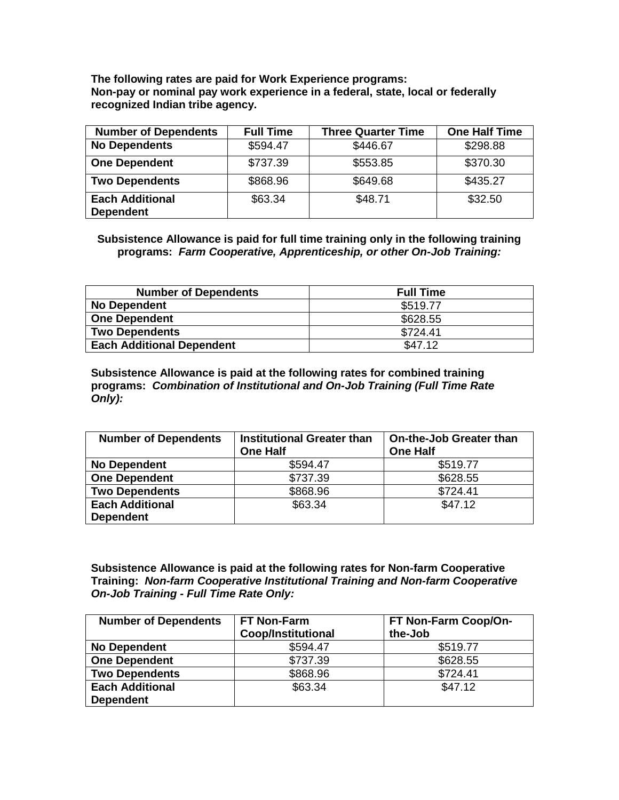**The following rates are paid for Work Experience programs: Non-pay or nominal pay work experience in a federal, state, local or federally recognized Indian tribe agency.**

| <b>Number of Dependents</b>                | <b>Full Time</b> | <b>Three Quarter Time</b> | <b>One Half Time</b> |
|--------------------------------------------|------------------|---------------------------|----------------------|
| <b>No Dependents</b>                       | \$594.47         | \$446.67                  | \$298.88             |
| <b>One Dependent</b>                       | \$737.39         | \$553.85                  | \$370.30             |
| <b>Two Dependents</b>                      | \$868.96         | \$649.68                  | \$435.27             |
| <b>Each Additional</b><br><b>Dependent</b> | \$63.34          | \$48.71                   | \$32.50              |

**Subsistence Allowance is paid for full time training only in the following training programs:** *Farm Cooperative, Apprenticeship, or other On-Job Training:* 

| <b>Number of Dependents</b>      | <b>Full Time</b> |
|----------------------------------|------------------|
| <b>No Dependent</b>              | \$519.77         |
| <b>One Dependent</b>             | \$628.55         |
| <b>Two Dependents</b>            | \$724.41         |
| <b>Each Additional Dependent</b> | \$47.12          |

**Subsistence Allowance is paid at the following rates for combined training programs:** *Combination of Institutional and On-Job Training (Full Time Rate Only):* 

| <b>Number of Dependents</b> | <b>Institutional Greater than</b><br><b>One Half</b> | <b>On-the-Job Greater than</b><br><b>One Half</b> |
|-----------------------------|------------------------------------------------------|---------------------------------------------------|
| <b>No Dependent</b>         | \$594.47                                             | \$519.77                                          |
| <b>One Dependent</b>        | \$737.39                                             | \$628.55                                          |
| <b>Two Dependents</b>       | \$868.96                                             | \$724.41                                          |
| <b>Each Additional</b>      | \$63.34                                              | \$47.12                                           |
| <b>Dependent</b>            |                                                      |                                                   |

**Subsistence Allowance is paid at the following rates for Non-farm Cooperative Training:** *Non-farm Cooperative Institutional Training and Non-farm Cooperative On-Job Training - Full Time Rate Only:* 

| <b>Number of Dependents</b> | FT Non-Farm<br><b>Coop/Institutional</b> | FT Non-Farm Coop/On-<br>the-Job |
|-----------------------------|------------------------------------------|---------------------------------|
| <b>No Dependent</b>         | \$594.47                                 | \$519.77                        |
| <b>One Dependent</b>        | \$737.39                                 | \$628.55                        |
| <b>Two Dependents</b>       | \$868.96                                 | \$724.41                        |
| <b>Each Additional</b>      | \$63.34                                  | \$47.12                         |
| <b>Dependent</b>            |                                          |                                 |